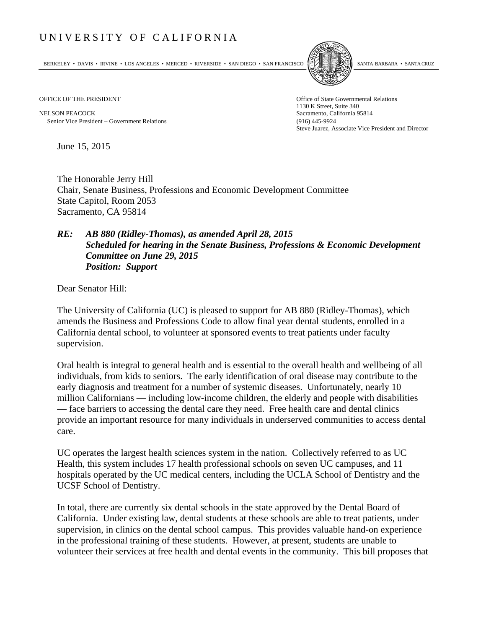## UNIVERSITY OF CALIFORNIA

BERKELEY • DAVIS • IRVINE • LOS ANGELES • MERCED • RIVERSIDE • SAN DIEGO • SAN FRANCISCO SANTA BARBARA • SANTA CRUZ



OFFICE OF THE PRESIDENT STATES OF THE PRESIDENT

NELSON PEACOCK Sacramento, California 95814 Senior Vice President Government Relations (916) 445-9924

1130 K Street, Suite 340 Steve Juarez, Associate Vice President and Director

June 15, 2015

The Honorable Jerry Hill Chair, Senate Business, Professions and Economic Development Committee State Capitol, Room 2053 Sacramento, CA 95814

## *RE: AB 880 (Ridley-Thomas), as amended April 28, 2015 Scheduled for hearing in the Senate Business, Professions & Economic Development Committee on June 29, 2015 Position: Support*

Dear Senator Hill:

The University of California (UC) is pleased to support for AB 880 (Ridley-Thomas), which amends the Business and Professions Code to allow final year dental students, enrolled in a California dental school, to volunteer at sponsored events to treat patients under faculty supervision.

Oral health is integral to general health and is essential to the overall health and wellbeing of all individuals, from kids to seniors. The early identification of oral disease may contribute to the early diagnosis and treatment for a number of systemic diseases. Unfortunately, nearly 10 million Californians — including low-income children, the elderly and people with disabilities — face barriers to accessing the dental care they need. Free health care and dental clinics provide an important resource for many individuals in underserved communities to access dental care.

UC operates the largest health sciences system in the nation. Collectively referred to as UC Health, this system includes 17 health professional schools on seven UC campuses, and 11 hospitals operated by the UC medical centers, including the UCLA School of Dentistry and the UCSF School of Dentistry.

In total, there are currently six dental schools in the state approved by the Dental Board of California. Under existing law, dental students at these schools are able to treat patients, under supervision, in clinics on the dental school campus. This provides valuable hand-on experience in the professional training of these students. However, at present, students are unable to volunteer their services at free health and dental events in the community. This bill proposes that